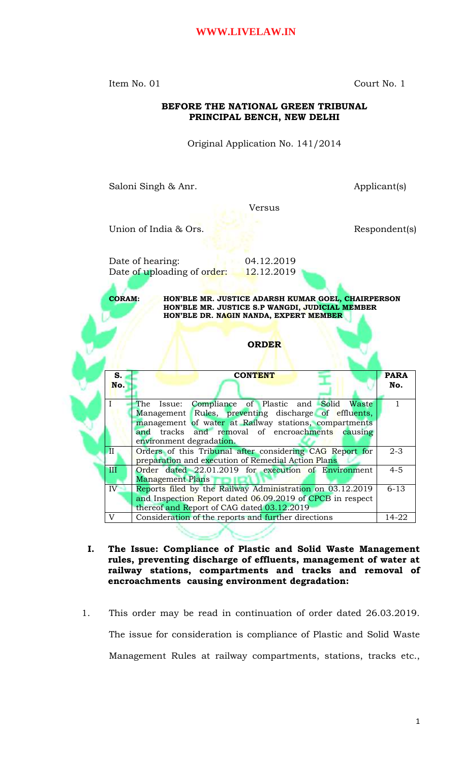Item No. 01 Court No. 1

**BEFORE THE NATIONAL GREEN TRIBUNAL PRINCIPAL BENCH, NEW DELHI** Original Application No. 141/2014 Saloni Singh & Anr. <br>
Applicant(s) Versus Union of India & Ors. Respondent(s) Date of hearing: 04.12.2019 Date of uploading of order: 12.12.2019 **CORAM: HON'BLE MR. JUSTICE ADARSH KUMAR GOEL, CHAIRPERSON HON'BLE MR. JUSTICE S.P WANGDI, JUDICIAL MEMBER HON'BLE DR. NAGIN NANDA, EXPERT MEMBER ORDER S. No. CONTENT PARA No.** I The Issue: Compliance of Plastic and Solid Waste Management Rules, preventing discharge of effluents, management of water at Railway stations, compartments and tracks and removal of encroachments causing environment degradation. 1 II | Orders of this Tribunal after considering CAG Report for preparation and execution of Remedial Action Plans 2-3 III Order dated 22.01.2019 for execution of Environment Management Plans 4-5 IV Reports filed by the Railway Administration on 03.12.2019 and Inspection Report dated 06.09.2019 of CPCB in respect thereof and Report of CAG dated 03.12.2019 6-13 V Consideration of the reports and further directions 14-22

- **I. The Issue: Compliance of Plastic and Solid Waste Management rules, preventing discharge of effluents, management of water at railway stations, compartments and tracks and removal of encroachments causing environment degradation:**
- 1. This order may be read in continuation of order dated 26.03.2019. The issue for consideration is compliance of Plastic and Solid Waste Management Rules at railway compartments, stations, tracks etc.,

### 1

|              | management of water at Railway stations, compartments     |          |
|--------------|-----------------------------------------------------------|----------|
|              | and tracks and removal of encroachments causing           |          |
|              | environment degradation.                                  |          |
| Ш            | Orders of this Tribunal after considering CAG Report for  | $2 - 3$  |
|              | preparation and execution of Remedial Action Plans        |          |
| Ш            | Order dated 22.01.2019 for execution of Environment       | $4 - 5$  |
|              | <b>Management Plans</b>                                   |          |
| IV           | Reports filed by the Railway Administration on 03.12.2019 | $6 - 13$ |
|              | and Inspection Report dated 06.09.2019 of CPCB in respect |          |
|              | thereof and Report of CAG dated 03.12.2019                |          |
| $\mathbf{V}$ | Consideration of the reports and further directions       | 14-22    |
|              |                                                           |          |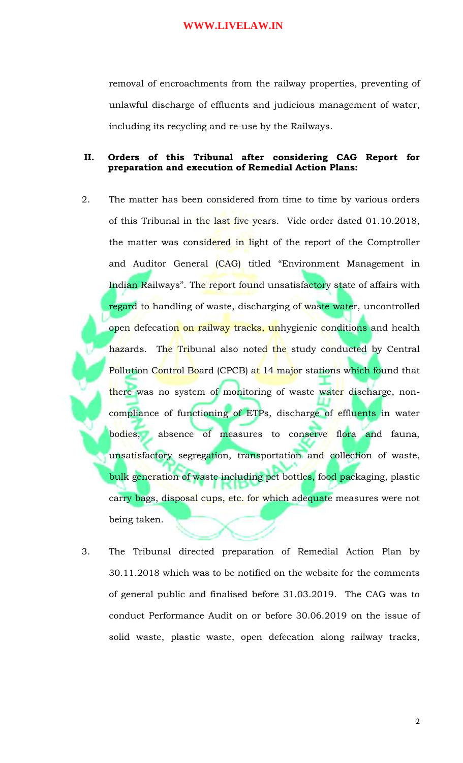removal of encroachments from the railway properties, preventing of unlawful discharge of effluents and judicious management of water, including its recycling and re-use by the Railways.

### **II. Orders of this Tribunal after considering CAG Report for preparation and execution of Remedial Action Plans:**

- 2. The matter has been considered from time to time by various orders of this Tribunal in the last five years. Vide order dated 01.10.2018, the matter was considered in light of the report of the Comptroller and Auditor General (CAG) titled "Environment Management in Indian Railways". The report found unsatisfactory state of affairs with regard to handling of waste, discharging of waste water, uncontrolled open defecation on railway tracks, unhygienic conditions and health hazards. The Tribunal also noted the study conducted by Central Pollution Control Board (CPCB) at 14 major stations which found that there was no system of monitoring of waste water discharge, noncompliance of functioning of ETPs, discharge of effluents in water bodies, absence of measures to conserve flora and fauna, unsatisfactory segregation, transportation and collection of waste, bulk generation of waste including pet bottles, food packaging, plastic carry bags, disposal cups, etc. for which adequate measures were not being taken.
- 3. The Tribunal directed preparation of Remedial Action Plan by 30.11.2018 which was to be notified on the website for the comments of general public and finalised before 31.03.2019. The CAG was to conduct Performance Audit on or before 30.06.2019 on the issue of solid waste, plastic waste, open defecation along railway tracks,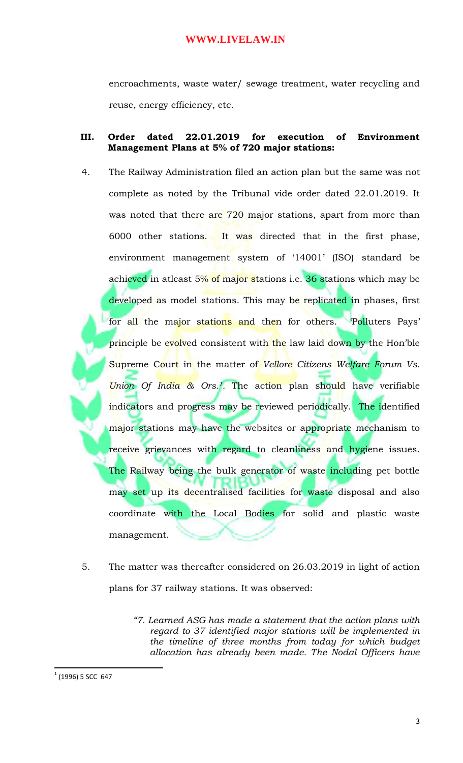encroachments, waste water/ sewage treatment, water recycling and reuse, energy efficiency, etc.

### **III. Order dated 22.01.2019 for execution of Environment Management Plans at 5% of 720 major stations:**

- 4. The Railway Administration filed an action plan but the same was not complete as noted by the Tribunal vide order dated 22.01.2019. It was noted that there are 720 major stations, apart from more than 6000 other stations. It was directed that in the first phase, environment management system of '14001' (ISO) standard be achieved in atleast 5% of major stations i.e. 36 stations which may be developed as model stations. This may be replicated in phases, first for all the major stations and then for others. 'Polluters Pays' principle be evolved consistent with the law laid down by the Hon'ble Supreme Court in the matter of *Vellore Citizens Welfare Forum Vs. Union Of India & Ors.1.* The action plan should have verifiable indicators and progress may be reviewed periodically. The identified major stations may have the websites or appropriate mechanism to receive grievances with regard to cleanliness and hygiene issues. The Railway being the bulk generator of waste including pet bottle may set up its decentralised facilities for waste disposal and also coordinate with the Local Bodies for solid and plastic waste management.
- 5. The matter was thereafter considered on 26.03.2019 in light of action plans for 37 railway stations. It was observed:

 $\overline{\phantom{a}}$ 

*<sup>&</sup>quot;7. Learned ASG has made a statement that the action plans with regard to 37 identified major stations will be implemented in the timeline of three months from today for which budget allocation has already been made. The Nodal Officers have* 

 $1$  (1996) 5 SCC 647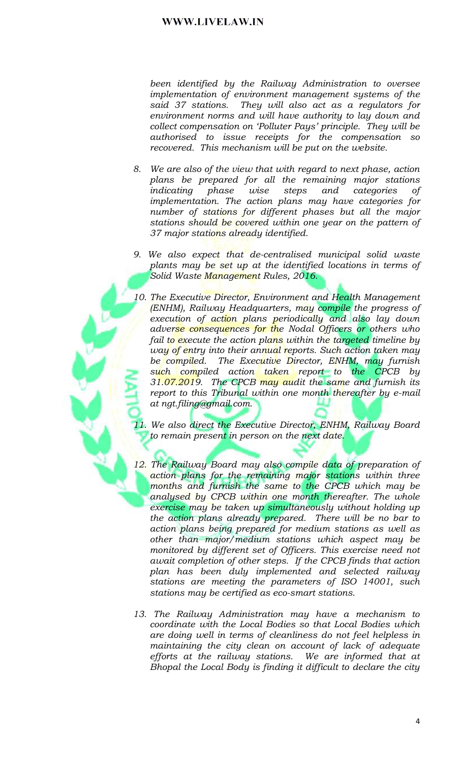been identified by the Railway Administration to oversee implementation of environment management systems of the said 37 stations. They will also act as a regulators for environment norms and will have authority to lay down and collect compensation on 'Polluter Pays' principle. They will be<br>authorised to issue receipts for the compensation so recovered. This mechanism will be put on the website.

- 8. We are also of the view that with regard to next phase, action plans be prepared for all the remaining major stations *indicating phase* wise steps and categories <sub>of</sub> implementation. The action plans may have categories for number of stations for different phases but all the major stations should be covered within one year on the pattern of 37 major stations already identified.
- 9. We also expect that de-centralised municipal solid waste plants may be set up at the identified locations in terms of Solid Waste Management Rules, 2016.
- 10. The Executive Director, Environment and Health Management (ENHM), Railway Headquarters, may compile the progress of execution of action plans periodically and also lay down adverse consequences for the Nodal Officers or others who fail t<mark>o e</mark>xecute the action pl<mark>ans</mark> within the ta<del>rgeted</del> timeline by way of entry into their annual reports. Such action taken may be compiled. The Executive Director, ENHM, may furnish such compiled action taken report to the CPCB by 31.07.2019. The CPCB may audit the same and furnish its report to this Tribunal within one month thereafter by e-mail at ngt.filing@gmail.com.
- We also direct the Executive Director, ENHM, Railway Board to remain presen<mark>t</mark> in person on the next date.
- 12. The Railway Board may also compile data of preparation of action plans for the remaining major stations within three months and furnish the same to the CPCB which may be analysed by CPCB within one month thereafter. The whole exercise may be taken up simultaneously without holding up the action plans already prepared. There will be no bar to action plans being prepared for medium stations as well as other than major/medium stations which aspect may be monitored by different set of Officers. This exercise need not await completion of other steps. If the CPCB finds that action plan has been duly implemented and selected railway stations are meeting the parameters of ISO 14001, such stations may be certified as eco-smart stations.
- 13. The Railway Administration may have a mechanism to coordinate with the Local Bodies so that Local Bodies which are doing well in terms of cleanliness do not feel helpless in maintaining the city clean on account of lack of adequate efforts at the railway stations. We are informed that at Bhopal the Local Body is finding it difficult to declare the city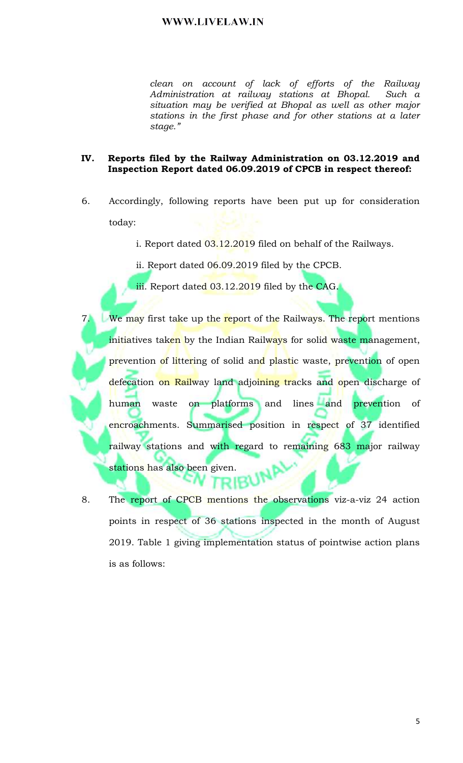clean on account of lack of efforts of the Railway Administration at railway stations at Bhopal. Such a situation may be verified at Bhopal as well as other major stations in the first phase and for other stations at a later stage."

#### IV. Reports filed by the Railway Administration on 03.12.2019 and Inspection Report dated 06.09.2019 of CPCB in respect thereof:

- 6. Accordingly, following reports have been put up for consideration today:
	- i. Report dated 03.12.2019 filed on behalf of the Railways.
	- ii. Report dated 06.09.2019 filed by the CPCB.
	- iii. Report dated 03.12.2019 filed by the CAG.
- $7.$ We may first take up the report of the Railways. The report mentions initiatives tak<mark>en by the Indian Railways</mark> for solid waste management, prevention of littering of solid and plastic waste, prevention of open defecation on Railway land adjoining tracks and open discharge of lines and human waste on platforms and prevention of encroachments. Summarised position in respect of 37 identified railway stations and with regard to remaining 683 major railway stations has also been given.
- The report of CPCB mentions the observations viz-a-viz 24 action 8. points in respect of 36 stations inspected in the month of August 2019. Table 1 giving implementation status of pointwise action plans is as follows: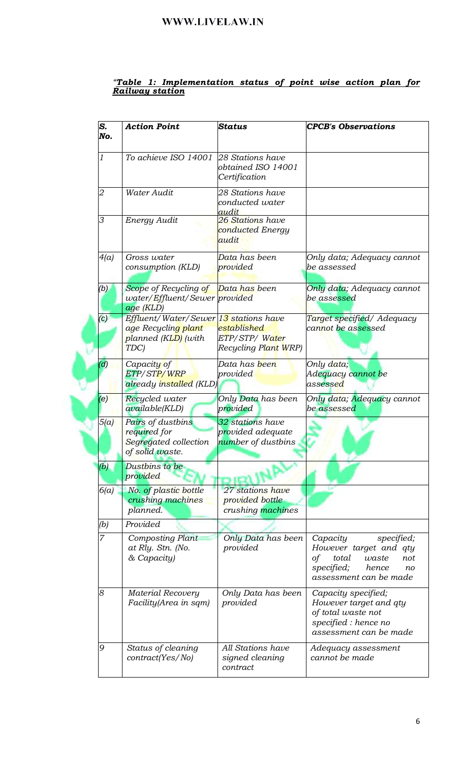## <u> "Table 1: Implementation status of point wise action plan for Railway station</u>

| S.<br>No.      | <b>Action Point</b>                                                                         | <b>Status</b>                                               | <b>CPCB's Observations</b>                                                                                                             |
|----------------|---------------------------------------------------------------------------------------------|-------------------------------------------------------------|----------------------------------------------------------------------------------------------------------------------------------------|
| 1              | To achieve ISO 14001                                                                        | 28 Stations have<br>obtained ISO 14001<br>Certification     |                                                                                                                                        |
| 2              | Water Audit                                                                                 | 28 Stations have<br>conducted water<br>audit                |                                                                                                                                        |
| 3              | Energy Audit                                                                                | 26 Stations have<br>conducted Energy<br>audit               |                                                                                                                                        |
| 4(a)           | Gross water<br>consumption (KLD)                                                            | Data has been<br>provided                                   | Only data; Adequacy cannot<br>be assessed                                                                                              |
| (b)            | Scope of Recycling of Data has been<br>water/Effluent/Sewer provided<br>age (KLD)           |                                                             | Only data; Adequacy cannot<br>be assessed                                                                                              |
| $\mathcal{C}$  | Effluent/Water/Sewer 13 stations have<br>age Recycling plant<br>planned (KLD) (with<br>TDC) | established<br>ETP/STP/Water<br>Recycling Plant WRP)        | Target specified/ Adequacy<br>cannot be assessed                                                                                       |
| $\mathcal{L}$  | Capacity of<br>ETP/STP/WRP<br>already installed (KLD)                                       | Data has <mark>b</mark> een<br>provided                     | Only data;<br>Adequacy cannot be<br>assessed                                                                                           |
| (e)            | Recycled water<br>available(KLD)                                                            | Only Data has been<br>provided                              | Only data; Adequacy cannot<br>be assessed                                                                                              |
| 5(a)           | Pairs of dustbins<br>required for<br>Segregated collection<br>of solid waste.               | 32 stations have<br>provided adequate<br>number of dustbins |                                                                                                                                        |
| (b)            | Dustbins to be<br>provided                                                                  |                                                             |                                                                                                                                        |
| 6(a)           | No. of plastic bottle<br>crushing machines<br>planned.                                      | 27 stations have<br>provided bottle<br>crushing machines    |                                                                                                                                        |
| (b)            | Provided                                                                                    |                                                             |                                                                                                                                        |
| $\overline{7}$ | <b>Composting Plant</b><br>at Rly. Stn. (No.<br>& Capacity)                                 | Only Data has been<br>provided                              | specified;<br>Capacity<br>However target and qty<br>of<br>total<br>not<br>waste<br>specified;<br>hence<br>no<br>assessment can be made |
| 8              | <b>Material Recovery</b><br>Facility (Area in sqm)                                          | Only Data has been<br>provided                              | Capacity specified;<br>However target and qty<br>of total waste not<br>specified : hence no<br>assessment can be made                  |
| 9              | Status of cleaning<br>contract(Yes/No)                                                      | <b>All Stations have</b><br>signed cleaning<br>contract     | Adequacy assessment<br>cannot be made                                                                                                  |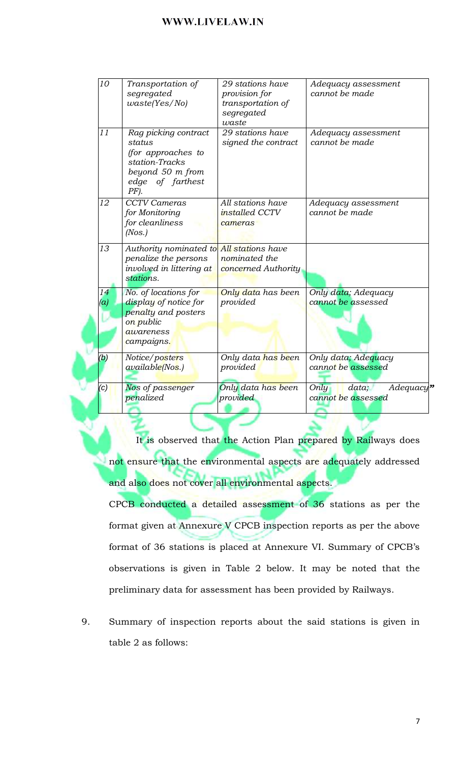| $\overline{10}$ | Transportation of<br>segregated<br>waste(Yes/No)                                                                          | 29 stations have<br>provision for<br>transportation of<br>segregated<br>waste | Adequacy assessment<br>cannot be made            |
|-----------------|---------------------------------------------------------------------------------------------------------------------------|-------------------------------------------------------------------------------|--------------------------------------------------|
| 11              | Rag picking contract<br>status<br>(for approaches to<br>station-Tracks<br>beyond 50 m from<br>edge of farthest<br>$PF$ ). | 29 stations have<br>signed the contract                                       | Adequacy assessment<br>cannot be made            |
| 12              | <b>CCTV</b> Cameras<br>for Monitoring<br>for cleanliness<br>(Nos.)                                                        | All stations have<br><i>installed CCTV</i><br>cameras                         | Adequacy assessment<br>cannot be made            |
| 13              | Authority nominated to<br>penalize the persons<br>involved in littering at<br>stations.                                   | All stations have<br>nominated the<br>concerned Authority                     |                                                  |
| 14<br>(a)       | No. of locations for<br>display of notice for<br>penalty and posters<br>on public<br>awareness<br>campaigns.              | Only data has been<br>provided                                                | Only data; Adequacy<br>cannot be assessed        |
| (b              | Notice/posters<br>available(Nos.)                                                                                         | Only data has been<br>provided                                                | Only data; Adequacy<br>cannot be assessed        |
| (c)             | Nos of passenger<br>penalized                                                                                             | Only data has been<br>provided                                                | Only<br>data;<br>Adequacy'<br>cannot be assessed |

It is observed that the Action Plan prepared by Railways does not ensure that the environmental aspects are adequately addressed and also does not cover all environmental aspects.

CPCB conducted a detailed assessment of 36 stations as per the format given at Annexure V CPCB inspection reports as per the above format of 36 stations is placed at Annexure VI. Summary of CPCB's observations is given in Table 2 below. It may be noted that the preliminary data for assessment has been provided by Railways.

9. Summary of inspection reports about the said stations is given in table 2 as follows: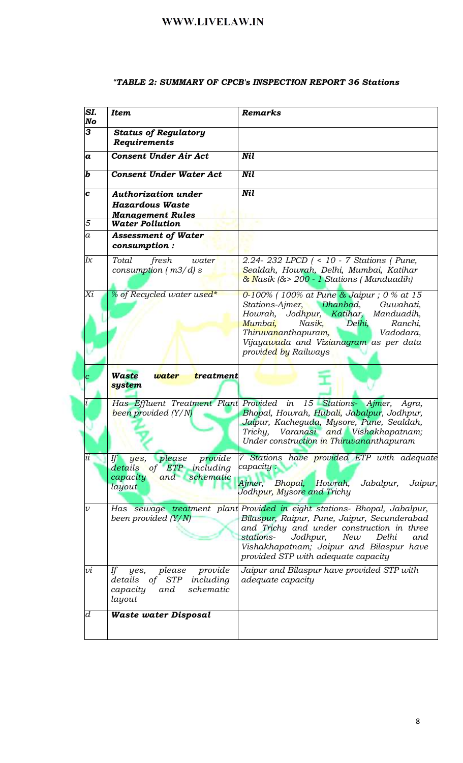| SI.<br>No                  | <b>Item</b>                                                                                                           | Remarks                                                                                                                                                                                                                                                                                                   |
|----------------------------|-----------------------------------------------------------------------------------------------------------------------|-----------------------------------------------------------------------------------------------------------------------------------------------------------------------------------------------------------------------------------------------------------------------------------------------------------|
| 3                          | <b>Status of Regulatory</b><br>Requirements                                                                           |                                                                                                                                                                                                                                                                                                           |
| a                          | <b>Consent Under Air Act</b>                                                                                          | <b>Nil</b>                                                                                                                                                                                                                                                                                                |
| $\bm{b}$                   | <b>Consent Under Water Act</b>                                                                                        | <b>Nil</b>                                                                                                                                                                                                                                                                                                |
| C                          | <b>Authorization under</b><br><b>Hazardous Waste</b><br><b>Management Rules</b>                                       | <b>Nil</b>                                                                                                                                                                                                                                                                                                |
| 5                          | <b>Water Pollution</b>                                                                                                |                                                                                                                                                                                                                                                                                                           |
| $\overline{a}$             | <b>Assessment of Water</b><br>consumption:                                                                            |                                                                                                                                                                                                                                                                                                           |
| Iχ                         | Total<br>fresh<br>water<br>consumption $(m3/d)$ s                                                                     | 2.24-232 LPCD (< 10 - 7 Stations (Pune,<br>Sealdah, Howrah, Delhi, Mumbai, Katihar<br>$\frac{\partial}{\partial x}$ Nasik ( $\frac{\partial}{\partial y} > 200$ - 1 Stations (Manduadih)                                                                                                                  |
| Xi                         | % of Recycled water used*                                                                                             | 0-100% (100% at Pune $\frac{8}{3}$ Jaipur; 0 % at 15<br>Dhanbad,<br>Stations-Ajmer,<br>Guwahati,<br>Howrah, Jodhpur, Katihar, Manduadih,<br>Delhi,<br>Mumbai,<br>Nasik,<br>Ranchi,<br>Vadodara,<br>Thiruvananthapuram,<br>Vijaya <mark>wad</mark> a and Vizianagram as per data<br>provided by Railways   |
|                            | <b>Waste</b><br>water<br>treatment<br>system                                                                          |                                                                                                                                                                                                                                                                                                           |
|                            | Has Effluent Treatment Plant Provided in<br>been provided $(Y/N)$                                                     | 15 Stations- Ajmer, Agra,<br>Bhopal, Howrah, Hubali, Jabalpur, Jodhpur,<br>Jaipur, Kacheguda, Mysore, Pune, Sealdah,<br>Varanasi and Vishakhapatnam;<br>Trichy,<br>Under construction in Thiruvananthapuram                                                                                               |
| $\overline{ii}$            | provide<br>please<br>If<br>yes,<br>of ETP including<br>details<br>schematic<br>and<br>capacity<br>layout              | Stations have provided ETP with adequate<br>$\mathcal{T}$<br>capacity:<br>Bhopal, Howrah,<br>Jabalpur,<br>Ajmer,<br>Jaipur,<br>Jodhpur, Mysore and Trichy                                                                                                                                                 |
| $\boldsymbol{\mathcal{U}}$ | been provided (Y/N)                                                                                                   | Has sewage treatment plant Provided in eight stations- Bhopal, Jabalpur,<br>Bilaspur, Raipur, Pune, Jaipur, Secunderabad<br>and Trichy and under construction in three<br>New<br>stations-<br>Jodhpur,<br>Delhi<br>and<br>Vishakhapatnam; Jaipur and Bilaspur have<br>provided STP with adequate capacity |
| υi                         | If<br>please<br>provide<br>yes,<br>of<br><b>STP</b><br>including<br>details<br>schematic<br>capacity<br>and<br>layout | Jaipur and Bilaspur have provided STP with<br>adequate capacity                                                                                                                                                                                                                                           |
| $\boldsymbol{d}$           | <b>Waste water Disposal</b>                                                                                           |                                                                                                                                                                                                                                                                                                           |

### "TABLE 2: SUMMARY OF CPCB's INSPECTION REPORT 36 Stations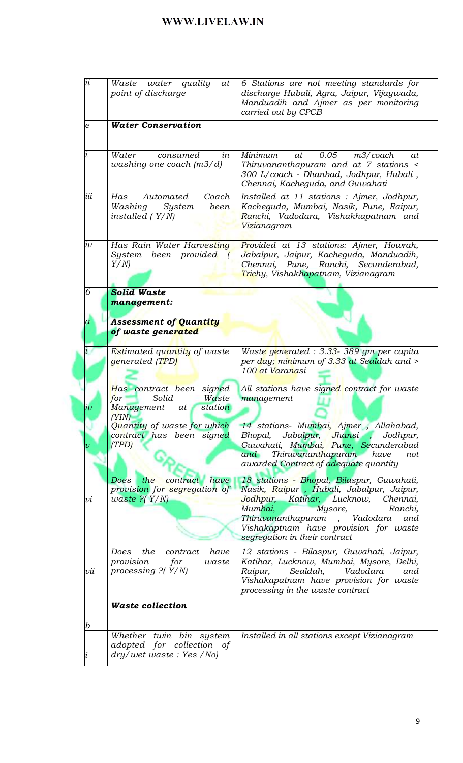| ii               | water quality<br>Waste<br>at<br>point of discharge                                        | 6 Stations are not meeting standards for<br>discharge Hubali, Agra, Jaipur, Vijaywada,<br>Manduadih and Ajmer as per monitoring<br>carried out by CPCB                                                                                                                          |
|------------------|-------------------------------------------------------------------------------------------|---------------------------------------------------------------------------------------------------------------------------------------------------------------------------------------------------------------------------------------------------------------------------------|
| $\boldsymbol{e}$ | <b>Water Conservation</b>                                                                 |                                                                                                                                                                                                                                                                                 |
|                  | Water<br>consumed<br>in<br>washing one coach $(m3/d)$                                     | 0.05<br>Minimum<br>$m3$ /coach<br>at<br>at<br>Thiruvananthapuram and at 7 stations <<br>300 L/coach - Dhanbad, Jodhpur, Hubali,<br>Chennai, Kacheguda, and Guwahati                                                                                                             |
| iii              | Has<br>Coach<br>Automated<br>System<br>been<br>Washing<br>installed $(Y/N)$               | Installed at 11 stations : Ajmer, Jodhpur,<br>Kacheguda, Mumbai, Nasik, Pune, Raipur,<br>Ranchi, Vadodara, Vishakhapatnam and<br>Vizianagram                                                                                                                                    |
| $i\upsilon$      | Has Rain Water Harvesting<br>been provided<br>System<br>$\sqrt{ }$<br>Y/N                 | Provided at 13 stations: Ajmer, Howrah,<br>Jabalpur, Jaipur, Kacheguda, Manduadih,<br>Ranchi, Secunderabad,<br>Chennai, Pune,<br>Trichy, Vishakhapatnam, Vizianagram                                                                                                            |
| 6                | <b>Solid Waste</b><br>management:                                                         |                                                                                                                                                                                                                                                                                 |
| $\overline{a}$   | <b>Assessment of Quantity</b><br>of waste generated                                       |                                                                                                                                                                                                                                                                                 |
|                  | Estimated quantity of waste<br>generated (TPD)                                            | Waste generated : 3.33-389 gm per capita<br>per day; minimum of 3.33 at Sealdah and ><br>100 at Varanasi                                                                                                                                                                        |
| w                | Has contract been signed<br>Solid<br>Waste<br>for<br>station<br>Management<br>at<br>'YIN) | All stations have signed contract for waste<br>management                                                                                                                                                                                                                       |
|                  | Quantity of waste for which<br>contract has been signed<br>(TPD)                          | 14 stations- Mumbai, Ajmer, Allahabad,<br>Jabalpur, Jhansi ,<br>Bhopal,<br>Jodhpur,<br>Guwahati, Mumbai, Pune, Secunderabad<br>Thiruvananthapuram have<br>and<br>not<br>awarded Contract of adequate quantity                                                                   |
| vı               | Does<br>the<br>have<br>contract<br>provision for segregation of<br>$waste$ ?( $Y/N$ )     | 18 stations - Bhopal, Bilaspur, Guwahati,<br>Nasik, Raipur, Hubali, Jabalpur, Jaipur,<br>Jodhpur, Katihar, Lucknow, Chennai,<br>Mumbai,<br>Mysore,<br>Ranchi,<br>Thiruvananthapuram , Vadodara<br>and<br>Vishakaptnam have provision for waste<br>segregation in their contract |
| vu               | the<br>have<br>Does<br>contract<br>provision<br>for<br>waste<br>processing $P(Y/N)$       | 12 stations - Bilaspur, Guwahati, Jaipur,<br>Katihar, Lucknow, Mumbai, Mysore, Delhi,<br>Sealdah,<br>Raipur,<br>Vadodara<br>and<br>Vishakapatnam have provision for waste<br>processing in the waste contract                                                                   |
| b                | <b>Waste collection</b>                                                                   |                                                                                                                                                                                                                                                                                 |
|                  | Whether twin bin system<br>adopted for collection of<br>dry/wet waste: Yes /No)           | Installed in all stations except Vizianagram                                                                                                                                                                                                                                    |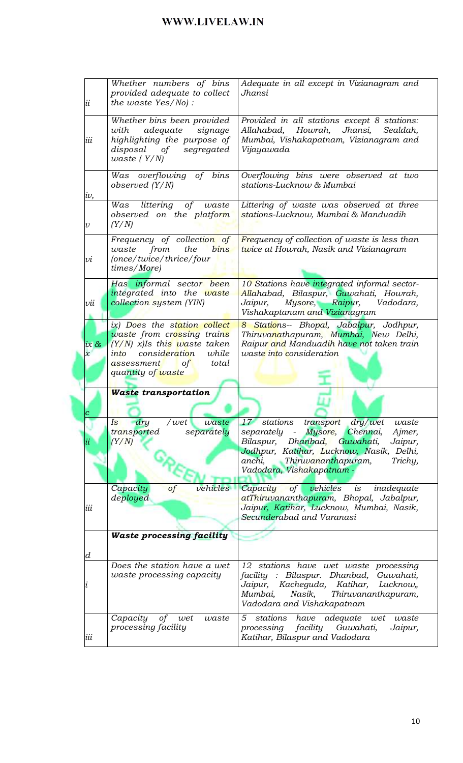|                            | Whether numbers of bins<br>provided adequate to collect | Adequate in all except in Vizianagram and<br>Jhansi                           |
|----------------------------|---------------------------------------------------------|-------------------------------------------------------------------------------|
| ii                         | the waste Yes/No):                                      |                                                                               |
|                            |                                                         |                                                                               |
|                            | Whether bins been provided                              | Provided in all stations except 8 stations:                                   |
|                            | adequate<br>signage<br>with                             | Allahabad,<br>Howrah, Jhansi,<br>Sealdah,                                     |
|                            |                                                         |                                                                               |
| iii                        | highlighting the purpose of                             | Mumbai, Vishakapatnam, Vizianagram and                                        |
|                            | disposal of<br>segregated                               | Vijayawada                                                                    |
|                            | waste $(Y/N)$                                           |                                                                               |
|                            | Was overflowing of bins                                 | Overflowing bins were observed at two                                         |
|                            |                                                         | stations-Lucknow & Mumbai                                                     |
|                            | observed $(Y/N)$                                        |                                                                               |
| w,                         |                                                         |                                                                               |
|                            | Was littering of waste                                  | Littering of waste was observed at three                                      |
|                            | observed on the platform                                | stations-Lucknow, Mumbai & Manduadih                                          |
| $\boldsymbol{\mathcal{U}}$ | (Y/N)                                                   |                                                                               |
|                            | Frequency of collection of                              | Frequency of collection of waste is less than                                 |
|                            |                                                         |                                                                               |
|                            | the<br>waste<br>from<br>bins                            | twice at Howrah, Nasik and Vizianagram                                        |
| υi                         | (once/twice/thrice/four                                 |                                                                               |
|                            | times/More)                                             |                                                                               |
|                            | Has informal sector been                                | 10 Stations have integrated informal sector-                                  |
|                            | integrated into the waste                               | Allahabad, Bilaspur, Guwahati, Howrah,                                        |
| vii                        | collection system (YIN)                                 | Mysore, Raipur,<br>Jaipur,<br>Vadodara,                                       |
|                            |                                                         | Vishakaptanam and Vizianagram                                                 |
|                            |                                                         |                                                                               |
|                            | ix) Does the station collect                            | 8 Stations-- Bhopal, Jabalpur, Jodhpur,                                       |
|                            | waste from crossing trains                              | Thiruvanathapuram, Mumbai, New Delhi,                                         |
| $ix \, \alpha$             | $(Y/N)$ x)Is this waste taken                           | Raipur and Manduadih have not taken train                                     |
| $\chi$                     | consideration<br>while<br>into                          | waste into consideration                                                      |
|                            | total<br>assessment<br>of                               |                                                                               |
|                            |                                                         |                                                                               |
|                            | quantity of waste                                       |                                                                               |
|                            |                                                         |                                                                               |
|                            |                                                         |                                                                               |
|                            | <b>Waste transportation</b>                             |                                                                               |
|                            |                                                         |                                                                               |
|                            |                                                         |                                                                               |
|                            | Is<br>dry<br>/wet<br>waste                              | dry/wet<br>stations<br>transport<br>waste<br>17 <sup>°</sup>                  |
|                            | separately<br>transported                               | separately<br>Mysore,<br>Chennai,<br>Ajmer,<br>$\sim$ $\sim$                  |
|                            | (Y/N)                                                   | Dhanbad,<br>Guwahati,<br>Bilaspur,<br>Jaipur,                                 |
|                            |                                                         | Jodhpur, Katihar, Lucknow, Nasik, Delhi,                                      |
|                            |                                                         | Thiruvananthapuram,<br>Trichy,<br>anchi,                                      |
|                            |                                                         | Vadodara, Vishakapatnam -                                                     |
|                            |                                                         |                                                                               |
|                            | vehicles<br>Capacity<br>of                              | $\int$<br>vehicles<br>Capacity<br>i s<br>inadequate                           |
|                            | deployed                                                | atThiruvananthapuram, Bhopal, Jabalpur,                                       |
| iii                        |                                                         | Jaipur, Katihar, Lucknow, Mumbai, Nasik,                                      |
|                            |                                                         | Secunderabad and Varanasi                                                     |
|                            |                                                         |                                                                               |
|                            | <b>Waste processing facility</b>                        |                                                                               |
|                            |                                                         |                                                                               |
| d                          |                                                         |                                                                               |
|                            | Does the station have a wet                             | 12 stations have wet waste processing                                         |
|                            | waste processing capacity                               | facility : Bilaspur. Dhanbad,<br>Guwahati,                                    |
|                            |                                                         | Kacheguda, Katihar,<br>Jaipur,<br>Lucknow,                                    |
|                            |                                                         | Mumbai,<br>Thiruvananthapuram,<br>Nasik,                                      |
|                            |                                                         | Vadodara and Vishakapatnam                                                    |
|                            |                                                         |                                                                               |
|                            | Capacity<br>of<br>waste<br>wet                          | stations<br>5<br>have adequate wet<br>waste                                   |
| iii                        | processing facility                                     | facility Guwahati,<br>processing<br>Jaipur,<br>Katihar, Bilaspur and Vadodara |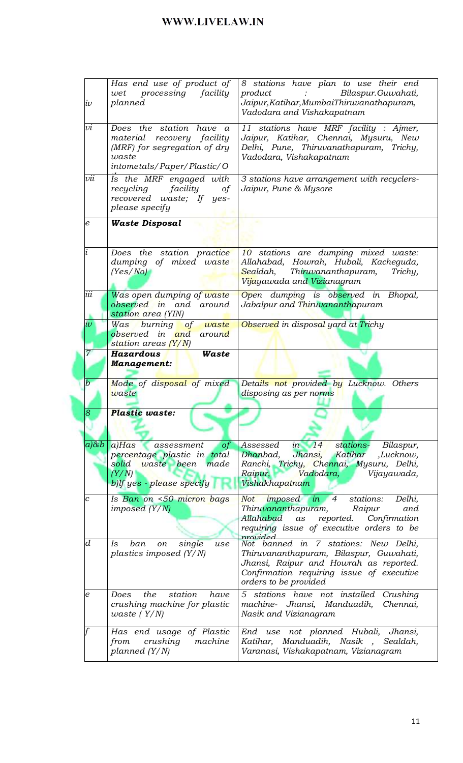| $i\upsilon$      | Has end use of product of<br>processing<br>facility<br>wet<br>planned                                                        | 8 stations have plan to use their end<br>product<br>Bilaspur.Guwahati,<br>Jaipur, Katihar, MumbaiThiruvanathapuram,<br>Vadodara and Vishakapatnam                                                           |
|------------------|------------------------------------------------------------------------------------------------------------------------------|-------------------------------------------------------------------------------------------------------------------------------------------------------------------------------------------------------------|
| υi               | Does the station have a<br>material recovery facility<br>(MRF) for segregation of dry<br>waste<br>intometals/Paper/Plastic/O | 11 stations have MRF facility : Ajmer,<br>Jaipur, Katihar, Chennai, Mysuru, New<br>Delhi, Pune, Thiruvanathapuram, Trichy,<br>Vadodara, Vishakapatnam                                                       |
| vii              | Is the MRF engaged with<br>facility<br>recycling<br>of<br>recovered waste; If yes-<br>please specify                         | 3 stations have arrangement with recyclers-<br>Jaipur, Pune & Mysore                                                                                                                                        |
| $\boldsymbol{e}$ | <b>Waste Disposal</b>                                                                                                        |                                                                                                                                                                                                             |
|                  | Does the station practice<br>dumping of mixed waste<br>(Yes/No)                                                              | 10 stations are dumping mixed waste:<br>Allahabad, Howrah, Hubali, Kacheguda,<br>Sealdah,<br>Thiruvananthapuram,<br>Trichy,<br>Vijayawada and Vizianagram                                                   |
| iii              | Was open dumping of waste<br>observed in and around<br>station area (YIN)                                                    | Open dumping is observed in Bhopal,<br>Jabalpur and Thiruvananthapuram                                                                                                                                      |
| $\dot{\iota}\nu$ | Was burning<br>of waste<br>observed in and around<br>station areas (Y/N)                                                     | Observed in disposal yard at Trichy                                                                                                                                                                         |
| $\overline{7}$   | Hazardous<br>Waste<br><b>Management:</b>                                                                                     |                                                                                                                                                                                                             |
| $\it{b}$         | Mode of disposal of mixed<br>waste                                                                                           | Details not provided by Lucknow. Others<br>disposing as per norms                                                                                                                                           |
|                  |                                                                                                                              |                                                                                                                                                                                                             |
| ହ                | <b>Plastic waste:</b>                                                                                                        |                                                                                                                                                                                                             |
| $a \& b$         | a)Has assessment<br>of<br>percentage plastic in total<br>waste been made<br>solid<br>(Y/N)<br>$b)$ lf yes - please specify   | Assessed<br>in $14$<br>stations-<br>Bilaspur,<br>Dhanbad,<br>Jhansi,<br>Katihar<br>,Lucknow,<br>Ranchi, Trichy, Chennai, Mysuru, Delhi,<br>Vadodara,<br>Raipur,<br>Vijayawada,<br>M<br>Vishakhapatnam       |
| $\boldsymbol{c}$ | Is Ban on <50 micron bags<br>imposed (Y/N)                                                                                   | imposed in 4<br>stations:<br>Not<br>Delhi,<br>Thiruvananthapuram,<br>Raipur<br>and<br>Allahabad as<br>reported. Confirmation<br>requiring issue of executive orders to be                                   |
| $\boldsymbol{d}$ | ban<br>single<br>Is<br>use<br>on<br>plastics imposed $(Y/N)$                                                                 | provided<br>Not banned in 7 stations: New Delhi,<br>Thiruvananthapuram, Bilaspur, Guwahati,<br>Jhansi, Raipur and Howrah as reported.<br>Confirmation requiring issue of executive<br>orders to be provided |
| e                | the<br>station<br>Does<br>have<br>crushing machine for plastic<br>waste $(Y/N)$                                              | 5 stations have not installed Crushing<br>machine- Jhansi, Manduadih,<br>Chennai,<br>Nasik and Vizianagram                                                                                                  |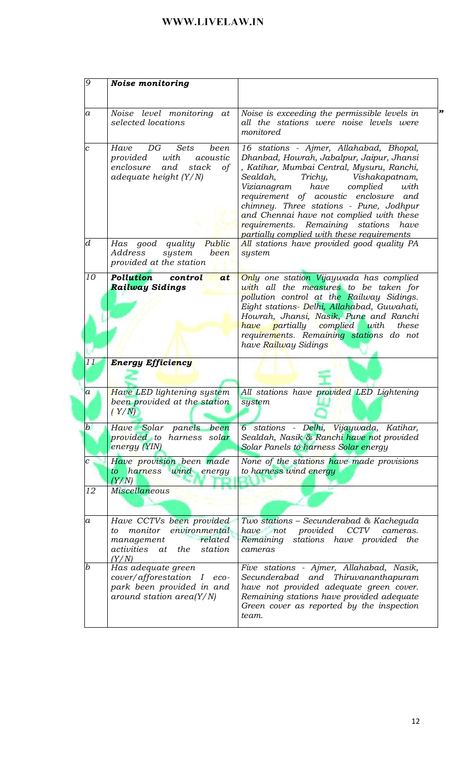| $\overline{9}$   | <b>Noise monitoring</b>                                                                                                         |                                                                                                                                                                                                                                                                                                                                                                                                                                                  |
|------------------|---------------------------------------------------------------------------------------------------------------------------------|--------------------------------------------------------------------------------------------------------------------------------------------------------------------------------------------------------------------------------------------------------------------------------------------------------------------------------------------------------------------------------------------------------------------------------------------------|
| $\it a$          | Noise level monitoring at<br>selected locations                                                                                 | "<br>Noise is exceeding the permissible levels in<br>all the stations were noise levels were<br>monitored                                                                                                                                                                                                                                                                                                                                        |
| $\overline{c}$   | DG<br>Sets<br>Have<br>been<br>with<br>provided<br>acoustic<br>and<br>$\circ f$<br>enclosure<br>stack<br>adequate height $(Y/N)$ | 16 stations - Ajmer, Allahabad, Bhopal,<br>Dhanbad, Howrah, Jabalpur, Jaipur, Jhansi<br>, Katihar, Mumbai Central, Mysuru, Ranchi,<br>Trichy,<br>Vishakapatnam,<br>Sealdah,<br>Vizianagram<br>have<br>complied<br>with<br>requirement of acoustic enclosure<br>and<br>chimney. Three stations - Pune, Jodhpur<br>and Chennai have not complied with these<br>requirements. Remaining stations have<br>partially complied with these requirements |
| $\boldsymbol{d}$ | Public<br>good quality<br>Has<br>been<br>Address<br>system<br>provided at the station                                           | All stations have provided good quality PA<br>system                                                                                                                                                                                                                                                                                                                                                                                             |
| 10               | Pollution<br>control<br>at<br><b>Railway Sidings</b>                                                                            | Only one station Vijaywada has complied<br>with all the measures to be taken for<br><i>pollution control at the Railway Sidings.</i><br>Eight stations- Delhi, Allahabad, Guwahati,<br>Howrah, Jhansi, Nasik, Pune and Ranchi<br>have partially complied with<br>these<br>requirements. Remaining stations do not<br>have Railway Sidings                                                                                                        |
| 11               | <b>Energy Efficiency</b>                                                                                                        |                                                                                                                                                                                                                                                                                                                                                                                                                                                  |
| а                | Have LED lightening system<br>been provided at the station<br>(Y/N)                                                             | All stations have provided LED Lightening<br>system                                                                                                                                                                                                                                                                                                                                                                                              |
| $\bm{b}$         | panels<br>Have Solar<br>been<br>provided to harness solar<br>energy (YIN)                                                       | 6 stations - Delhi, Vijaywada, Katihar,<br>Sealdah, Nasik & Ranchi have not provided<br>Solar Panels to harness Solar energy                                                                                                                                                                                                                                                                                                                     |
| с                | Have provision been made<br>to harness wind energy<br>(Y/N)                                                                     | None of the stations have made provisions<br>to harness wind energy                                                                                                                                                                                                                                                                                                                                                                              |
| 12               | <b>Miscellaneous</b>                                                                                                            |                                                                                                                                                                                                                                                                                                                                                                                                                                                  |
| $\boldsymbol{a}$ | Have CCTVs been provided<br>monitor<br>environmental<br>to<br>related<br>management<br>activities<br>the station<br>at<br>(Y/N) | Two stations - Secunderabad & Kacheguda<br>have not<br>provided<br><b>CCTV</b><br>cameras.<br>stations have provided the<br>Remaining<br>cameras                                                                                                                                                                                                                                                                                                 |
| b                | Has adequate green<br>cover/afforestation I eco-<br>park been provided in and<br>around station area $(Y/N)$                    | Five stations - Ajmer, Allahabad, Nasik,<br>Secunderabad and Thiruvananthapuram<br>have not provided adequate green cover.<br>Remaining stations have provided adequate<br>Green cover as reported by the inspection<br>team.                                                                                                                                                                                                                    |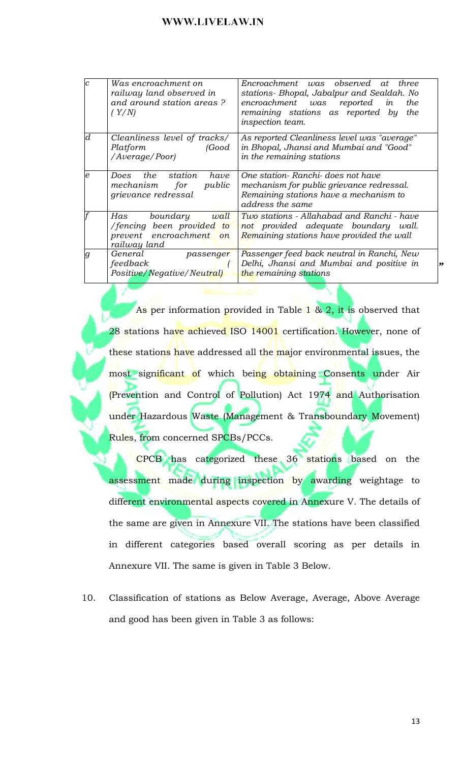| $\overline{c}$ | Was encroachment on<br>railway land observed in<br>and around station areas?<br>(Y/N)              | Encroachment was observed at three<br>stations- Bhopal, Jabalpur and Sealdah. No<br>encroachment was reported<br>in<br>the<br>remaining stations as reported by<br>the<br>inspection team. |
|----------------|----------------------------------------------------------------------------------------------------|--------------------------------------------------------------------------------------------------------------------------------------------------------------------------------------------|
| d              | Cleanliness level of tracks/<br>Platform<br>(Good)<br>/Average/Poor)                               | As reported Cleanliness level was "average"<br>in Bhopal, Jhansi and Mumbai and "Good"<br>in the remaining stations                                                                        |
| e              | the station<br>have<br>Does<br>public<br>mechanism<br>for<br>grievance redressal                   | One station- Ranchi- does not have<br>mechanism for public grievance redressal.<br>Remaining stations have a mechanism to<br>address the same                                              |
|                | Has<br>boundary<br>wall<br>/fencing been provided to<br>prevent encroachment<br>on<br>railway land | Two stations - Allahabad and Ranchi - have<br>not provided adequate boundary wall.<br>Remaining stations have provided the wall                                                            |
| g              | General<br>passenger<br>feedback<br>Positive/Negative/Neutral)                                     | Passenger feed back neutral in Ranchi, New<br>Delhi, Jhansi and Mumbai and positive in<br>the remaining stations                                                                           |

As per information provided in Table  $1 \& 2$ , it is observed that 28 stations ha<mark>ve achieved ISO 14001</mark> certification. However, none of these stations have addressed all the major environmental issues, the most significant of which being obtaining Consents under Air (Prevention and Control of Pollution) Act 1974 and Authorisation under Hazardous Waste (Management & Transboundary Movement) Rules, from concerned SPCBs/PCCs.

CPCB has categorized these 36 stations based on the assessment made during inspection by awarding weightage to different environmental aspects covered in Annexure V. The details of the same are given in Annexure VII. The stations have been classified in different categories based overall scoring as per details in Annexure VII. The same is given in Table 3 Below.

10. Classification of stations as Below Average, Average, Above Average and good has been given in Table 3 as follows: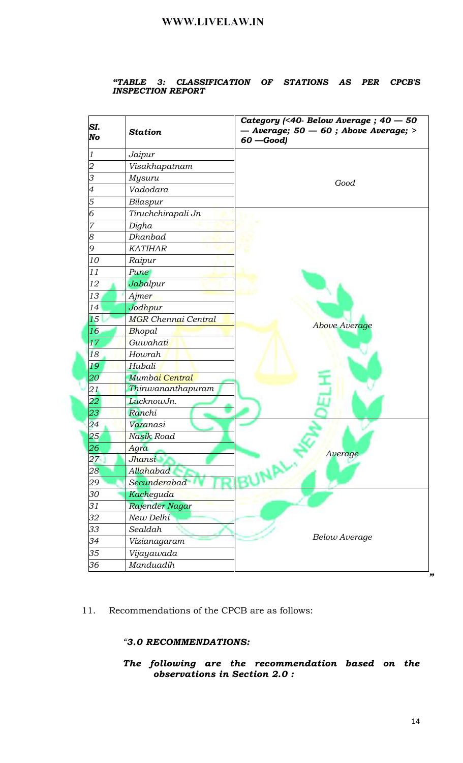# "TABLE 3: CLASSIFICATION OF STATIONS AS PER CPCB'S INSPECTION REPORT

| SI.<br>No      | <b>Station</b>             | Category (<40- Below Average; $40 - 50$<br>$-$ Average; 50 $-$ 60 ; Above Average; ><br>$60 - Good$ |
|----------------|----------------------------|-----------------------------------------------------------------------------------------------------|
| 1              | Jaipur                     |                                                                                                     |
| $\overline{2}$ | Visakhapatnam              |                                                                                                     |
| 3              | Mysuru                     | Good                                                                                                |
| 4              | Vadodara                   |                                                                                                     |
| 5              | Bilaspur                   |                                                                                                     |
| 6              | Tiruchchirapali Jn         |                                                                                                     |
| 7              | Digha                      |                                                                                                     |
| 8              | Dhanbad                    |                                                                                                     |
| 9              | <b>KATIHAR</b>             |                                                                                                     |
| 10             | Raipur                     |                                                                                                     |
| 11             | Pune                       |                                                                                                     |
| 12             | Jabalpur                   |                                                                                                     |
| 13             | Ajmer                      |                                                                                                     |
| 14             | Jodhpur                    |                                                                                                     |
| 15             | <b>MGR Chennai Central</b> |                                                                                                     |
| 16             | Bhopal                     | <b>Above Average</b>                                                                                |
| 17             | Guwahati                   |                                                                                                     |
| 18             | Howrah                     |                                                                                                     |
| 19             | Hubali                     |                                                                                                     |
| 20             | Mumbai Central             |                                                                                                     |
| 21             | Thiruvananthapuram         |                                                                                                     |
| 22             | LucknowJn.                 |                                                                                                     |
| 23             | Ranchi                     |                                                                                                     |
| 24             | Varanasi                   |                                                                                                     |
| 25             | Nasik Road                 |                                                                                                     |
| 26             | Agra                       |                                                                                                     |
| 27             | Jhansi                     | Average                                                                                             |
| $28 \,$        | Allahabad                  | <b>NAL.</b>                                                                                         |
| 29             | Secunderabad               |                                                                                                     |
| 30             | Kacheguda                  |                                                                                                     |
| 31             | Rajender Nagar             |                                                                                                     |
| 32             | New Delhi                  |                                                                                                     |
| 33             | Sealdah                    |                                                                                                     |
| 34             | Vizianagaram               | <b>Below Average</b>                                                                                |
| 35             | Vijayawada                 |                                                                                                     |
| 36             | Manduadih                  |                                                                                                     |

11. Recommendations of the CPCB are as follows:

### "3.0 RECOMMENDATIONS:

The following are the recommendation based on the observations in Section 2.0 :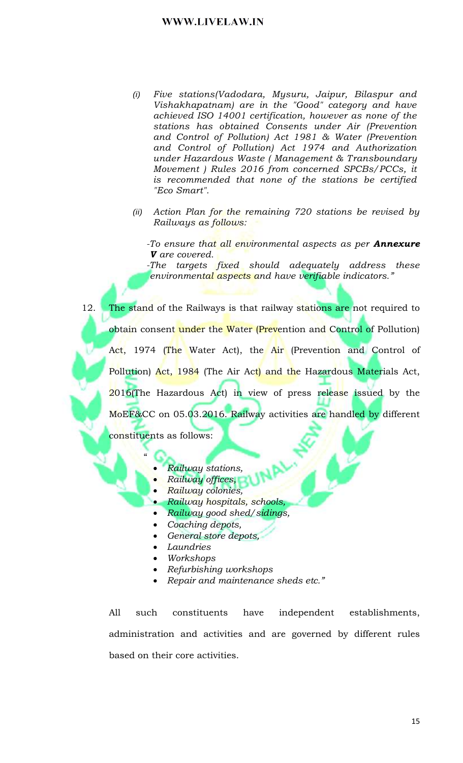- Five stations(Vadodara, Mysuru, Jaipur, Bilaspur and  $(i)$ Vishakhapatnam) are in the "Good" category and have achieved ISO 14001 certification, however as none of the stations has obtained Consents under Air (Prevention and Control of Pollution) Act 1981 & Water (Prevention and Control of Pollution) Act 1974 and Authorization under Hazardous Waste (Management & Transboundary Movement ) Rules 2016 from concerned SPCBs/PCCs, it is recommended that none of the stations be certified "Eco Smart".
- (ii) Action Plan for the remaining 720 stations be revised by Railways as follows:

-To ensure that all environmental aspects as per **Annexure V** are covered.

-The targets fixed should adequately address these environmental aspects and have verifiable indicators."

12. The stand of the Railways is that railway stations are not required to obtain consent under the Water (Prevention and Control of Pollution) Act, 1974 (The Water Act), the Air (Prevention and Control of Pollution) Act, 1984 (The Air Act) and the Hazardous Materials Act, 2016(The Hazardous Act) in view of press release issued by the MoEF&CC on 05.03.2016. Railway activities are handled by different constituents as follows:

- Railway stations,
- Railway offices,
- Railway colonies,
- Railway hospitals, schools,
- Railway good shed/sidings,  $\bullet$
- Coaching depots,  $\bullet$
- General store depots,  $\bullet$
- Laundries
- Workshops
- Refurbishing workshops
- Repair and maintenance sheds etc."

All such constituents have independent establishments, administration and activities and are governed by different rules based on their core activities.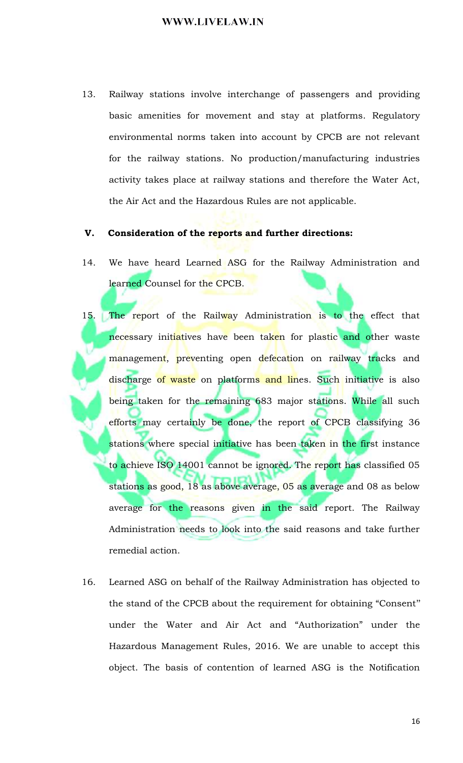13. Railway stations involve interchange of passengers and providing basic amenities for movement and stay at platforms. Regulatory environmental norms taken into account by CPCB are not relevant for the railway stations. No production/manufacturing industries activity takes place at railway stations and therefore the Water Act, the Air Act and the Hazardous Rules are not applicable.

#### V. Consideration of the reports and further directions:

- We have heard Learned ASG for the Railway Administration and 14. learned Counsel for the CPCB.
- The report of the Railway Administration is to the effect that 15. necessary initiatives have been taken for plastic and other waste management, preventing open defecation on railway tracks and discharge of waste on platforms and lines. Such initiative is also being taken for the remaining 683 major stations. While all such efforts may certainly be done, the report of CPCB classifying 36 stations where special initiative has been taken in the first instance to achieve ISO 14001 cannot be ignored. The report has classified 05 stations as good, 18 as above average, 05 as average and 08 as below average for the reasons given in the said report. The Railway Administration needs to look into the said reasons and take further remedial action.
- 16. Learned ASG on behalf of the Railway Administration has objected to the stand of the CPCB about the requirement for obtaining "Consent" under the Water and Air Act and "Authorization" under the Hazardous Management Rules, 2016. We are unable to accept this object. The basis of contention of learned ASG is the Notification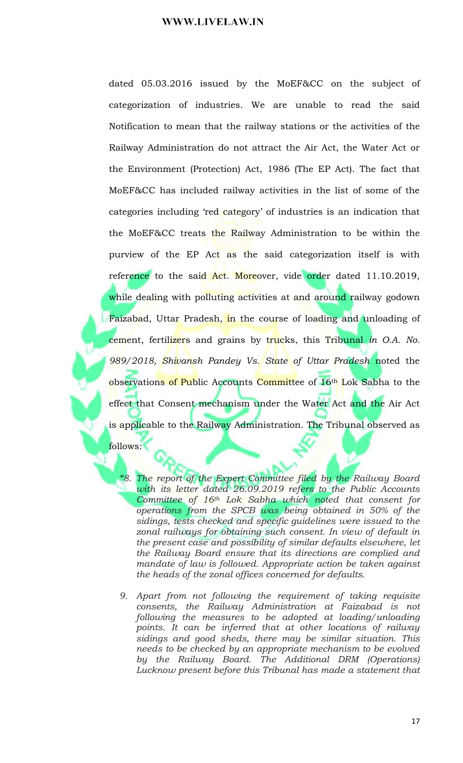dated 05.03.2016 issued by the MoEF&CC on the subject of categorization of industries. We are unable to read the said Notification to mean that the railway stations or the activities of the Railway Administration do not attract the Air Act, the Water Act or the Environment (Protection) Act, 1986 (The EP Act). The fact that MoEF&CC has included railway activities in the list of some of the categories including 'red category' of industries is an indication that the MoEF&CC treats the Railway Administration to be within the purview of the EP Act as the said categorization itself is with reference to the said Act. Moreover, vide order dated 11.10.2019, while dealing with polluting activities at and around railway godown Faizabad, Uttar Pradesh, in the course of loading and unloading of cement, fertilizers and grains by trucks, this Tribunal in O.A. No. 989/2018, Shivansh Pandey Vs. State of Uttar Pradesh noted the observations of Public Accounts Committee of 16<sup>th</sup> Lok Sabha to the effect that Consent mechanism under the Water Act and the Air Act is applicable to the Railway Administration. The Tribunal observed as

follows:

- "8. The report of the Expert Committee filed by the Railway Board with its letter dated 26.09.2019 refers to the Public Accounts Committee of 16th Lok Sabha which noted that consent for operations from the SPCB was being obtained in 50% of the sidings, tests checked and specific guidelines were issued to the zonal railways for obtaining such consent. In view of default in the present case and possibility of similar defaults elsewhere, let the Railway Board ensure that its directions are complied and mandate of law is followed. Appropriate action be taken against the heads of the zonal offices concerned for defaults.
- 9. Apart from not following the requirement of taking requisite consents, the Railway Administration at Faizabad is not following the measures to be adopted at loading/unloading points. It can be inferred that at other locations of railway sidings and good sheds, there may be similar situation. This needs to be checked by an appropriate mechanism to be evolved by the Railway Board. The Additional DRM (Operations) Lucknow present before this Tribunal has made a statement that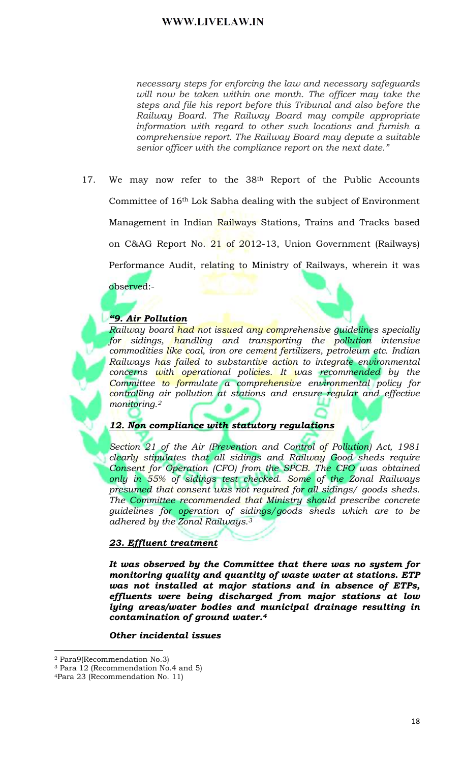necessary steps for enforcing the law and necessary safeguards will now be taken within one month. The officer may take the steps and file his report before this Tribunal and also before the Railway Board. The Railway Board may compile appropriate information with regard to other such locations and furnish a comprehensive report. The Railway Board may depute a suitable senior officer with the compliance report on the next date."

We may now refer to the 38<sup>th</sup> Report of the Public Accounts 17. Committee of 16<sup>th</sup> Lok Sabha dealing with the subject of Environment Management in Indian Railways Stations, Trains and Tracks based on C&AG Report No. 21 of 2012-13, Union Government (Railways) Performance Audit, relating to Ministry of Railways, wherein it was

## observed:-

### "9. Air Pollution

<mark>Railway board had not issued any com</mark>prehensive guidelines specially for sidings, handling and transporting the pollution intensive commodities like coal, iron ore cement fertilizers, petroleum etc. Indian Railways has failed to substantive action to integrate environmental concerns with operational policies. It was recommended by the Committee to formulate a comprehensive environmental policy for controlling air pollution at stations and ensure regular and effective monitoring.<sup>2</sup>

### 12. Non compliance with statutory regulations

Section 21 of the Air (Prevention and Control of Pollution) Act, 1981 clearly stipulates that all sidings and Railway Good sheds require Consent for Operation (CFO) from the SPCB. The CFO was obtained only in 55% of sidings test checked. Some of the Zonal Railways presumed that consent was not required for all sidings/ goods sheds. The Committee recommended that Ministry should prescribe concrete quidelines for operation of sidings/goods sheds which are to be adhered by the Zonal Railways.<sup>3</sup>

### 23. Effluent treatment

It was observed by the Committee that there was no system for monitoring quality and quantity of waste water at stations. ETP was not installed at major stations and in absence of ETPs, effluents were being discharged from major stations at low lying areas/water bodies and municipal drainage resulting in contamination of ground water.<sup>4</sup>

### Other incidental issues

<sup>&</sup>lt;sup>2</sup> Para9(Recommendation No.3)

 $^3$  Para 12 (Recommendation No.4 and 5)

<sup>&</sup>lt;sup>4</sup>Para 23 (Recommendation No. 11)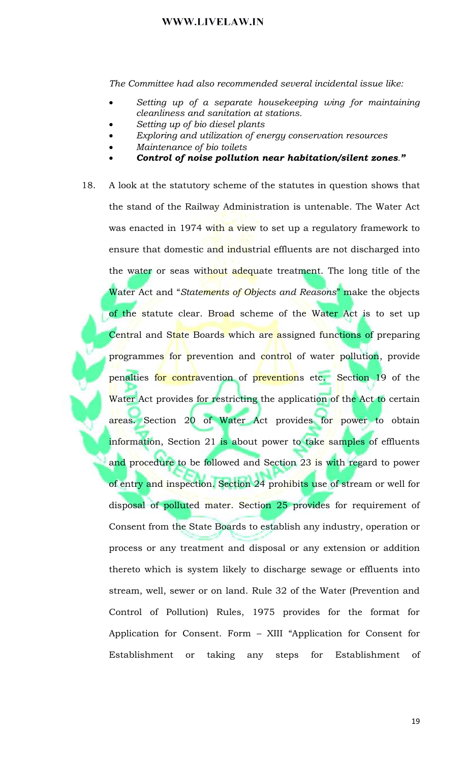The Committee had also recommended several incidental issue like:

- Setting up of a separate housekeeping wing for maintaining cleanliness and sanitation at stations.
- Setting up of bio diesel plants
- Exploring and utilization of energy conservation resources
- Maintenance of bio toilets
- Control of noise pollution near habitation/silent zones."
- A look at the statutory scheme of the statutes in question shows that 18. the stand of the Railway Administration is untenable. The Water Act was enacted in 1974 with a view to set up a regulatory framework to ensure that domestic and industrial effluents are not discharged into the water or seas without adequate treatment. The long title of the Water Act and "Statements of Objects and Reasons" make the objects of the statute clear. Broad scheme of the Water Act is to set up Central and State Boards which are assigned functions of preparing programmes for prevention and control of water pollution, provide penalties for contravention of preventions etc. Section 19 of the Water Act provides for restricting the application of the Act to certain areas. Section 20 of Water Act provides for power to obtain information, Section 21 is about power to take samples of effluents and procedure to be followed and Section 23 is with regard to power of entry and inspection. Section 24 prohibits use of stream or well for disposal of polluted mater. Section 25 provides for requirement of Consent from the State Boards to establish any industry, operation or process or any treatment and disposal or any extension or addition thereto which is system likely to discharge sewage or effluents into stream, well, sewer or on land. Rule 32 of the Water (Prevention and Control of Pollution) Rules, 1975 provides for the format for Application for Consent. Form - XIII "Application for Consent for Establishment or taking any steps for Establishment <sub>of</sub>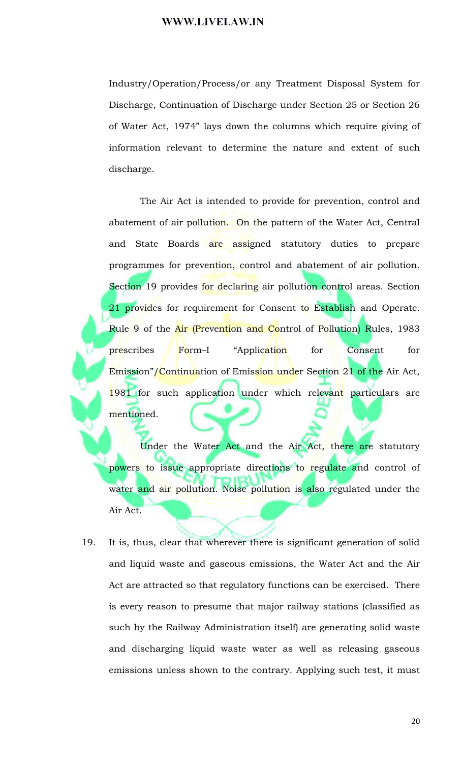Industry/Operation/Process/or any Treatment Disposal System for Discharge, Continuation of Discharge under Section 25 or Section 26 of Water Act, 1974" lays down the columns which require giving of information relevant to determine the nature and extent of such discharge.

The Air Act is intended to provide for prevention, control and abatement of air pollution. On the pattern of the Water Act, Central and State Boards are assigned statutory duties to prepare programmes for prevention, control and abatement of air pollution. Section 19 provides for declaring air pollution control areas. Section 21 provides for requirement for Consent to Establish and Operate. Rule 9 of the Air (Prevention and Control of Pollution) Rules, 1983 Form-I "Application Consent prescribes for for Emission"/Continuation of Emission under Section 21 of the Air Act, 1981 for such application under which relevant particulars are mentioned.

Under the Water Act and the Air Act, there are statutory powers to issue appropriate directions to regulate and control of water and air pollution. Noise pollution is also regulated under the Air Act.

It is, thus, clear that wherever there is significant generation of solid 19. and liquid waste and gaseous emissions, the Water Act and the Air Act are attracted so that regulatory functions can be exercised. There is every reason to presume that major railway stations (classified as such by the Railway Administration itself) are generating solid waste and discharging liquid waste water as well as releasing gaseous emissions unless shown to the contrary. Applying such test, it must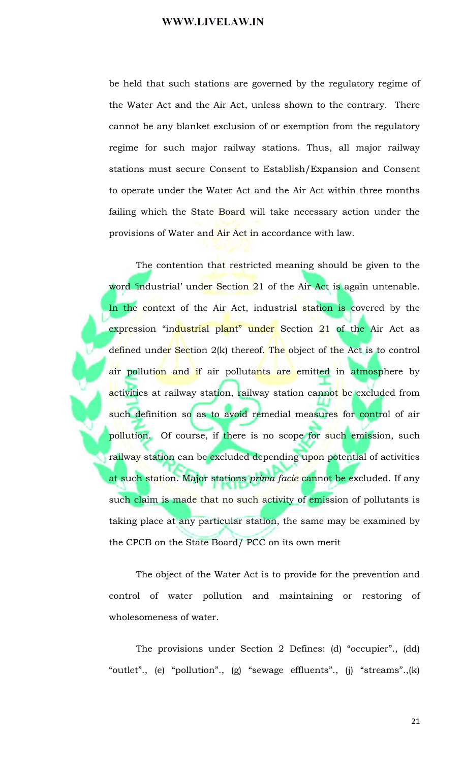be held that such stations are governed by the regulatory regime of the Water Act and the Air Act, unless shown to the contrary. There cannot be any blanket exclusion of or exemption from the regulatory regime for such major railway stations. Thus, all major railway stations must secure Consent to Establish/Expansion and Consent to operate under the Water Act and the Air Act within three months failing which the State Board will take necessary action under the provisions of Water and Air Act in accordance with law.

The contention that restricted meaning should be given to the word 'industrial' under Section 21 of the Air Act is again untenable. In the context of the Air Act, industrial station is covered by the expression "industrial plant" under Section 21 of the Air Act as defined under Section 2(k) thereof. The object of the Act is to control air pollution and if air pollutants are emitted in atmosphere by activities at railway station, railway station cannot be excluded from such definition so as to avoid remedial measures for control of air pollution. Of course, if there is no scope for such emission, such railway station can be excluded depending upon potential of activities at such station. Major stations prima facie cannot be excluded. If any such claim is made that no such activity of emission of pollutants is taking place at any particular station, the same may be examined by the CPCB on the State Board/PCC on its own merit

The object of the Water Act is to provide for the prevention and control of water pollution and maintaining or restoring of wholesomeness of water.

The provisions under Section 2 Defines: (d) "occupier"., (dd) "outlet"., (e) "pollution"., (g) "sewage effluents"., (j) "streams".,(k)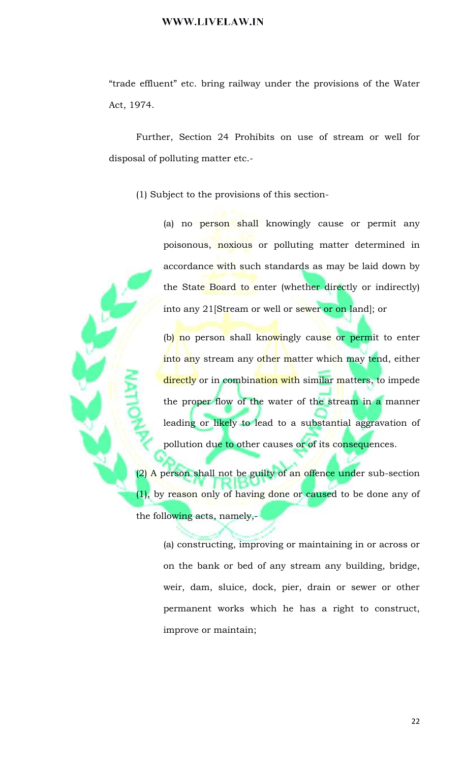"trade effluent" etc. bring railway under the provisions of the Water Act, 1974.

Further, Section 24 Prohibits on use of stream or well for disposal of polluting matter etc.-

(1) Subject to the provisions of this section-

(a) no person shall knowingly cause or permit any poisonous, noxious or polluting matter determined in accordance with such standards as may be laid down by the State Board to enter (whether directly or indirectly) into any 21[Stream or well or sewer or on land]; or

(b) no person shall knowingly cause or permit to enter into any stream any other matter which may tend, either directly or in combination with similar matters, to impede the proper flow of the water of the stream in a manner leading or likely to lead to a substantial aggravation of pollution due to other causes or of its consequences.

(2) A person shall not be guilty of an offence under sub-section (1), by reason only of having done or caused to be done any of the following acts, namely,-

> (a) constructing, improving or maintaining in or across or on the bank or bed of any stream any building, bridge, weir, dam, sluice, dock, pier, drain or sewer or other permanent works which he has a right to construct, improve or maintain;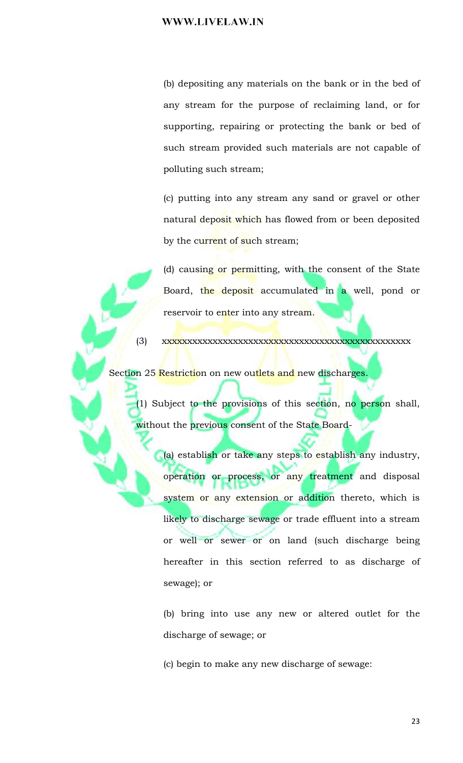(b) depositing any materials on the bank or in the bed of any stream for the purpose of reclaiming land, or for supporting, repairing or protecting the bank or bed of such stream provided such materials are not capable of polluting such stream;

(c) putting into any stream any sand or gravel or other natural deposit which has flowed from or been deposited by the current of such stream;

(d) causing or permitting, with the consent of the State Board, the deposit accumulated in a well, pond or reservoir to enter into any stream.

 $(3)$ 

Section 25 Restriction on new outlets and new discharges.

(1) Subject to the provisions of this section, no person shall, without the previous consent of the State Board-

(a) establish or take any steps to establish any industry, operation or process, or any treatment and disposal system or any extension or addition thereto, which is likely to discharge sewage or trade effluent into a stream or well or sewer or on land (such discharge being hereafter in this section referred to as discharge of sewage); or

(b) bring into use any new or altered outlet for the discharge of sewage; or

(c) begin to make any new discharge of sewage: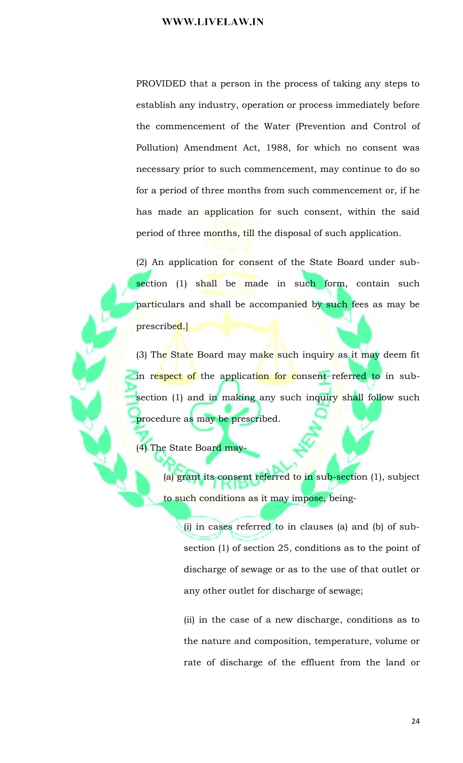PROVIDED that a person in the process of taking any steps to establish any industry, operation or process immediately before the commencement of the Water (Prevention and Control of Pollution) Amendment Act, 1988, for which no consent was necessary prior to such commencement, may continue to do so for a period of three months from such commencement or, if he has made an application for such consent, within the said period of three months, till the disposal of such application.

(2) An application for consent of the State Board under subsection (1) shall be made in such form, contain such particulars and shall be accompanied by such fees as may be prescribed.

(3) The State Board may make such inquiry as it may deem fit in respect of the application for consent referred to in subsection (1) and in making any such inquiry shall follow such procedure as may be prescribed.

(4) The State Board may-

(a) grant its consent referred to in sub-section (1), subject to such conditions as it may impose, being-

(i) in cases referred to in clauses (a) and (b) of subsection  $(1)$  of section 25, conditions as to the point of discharge of sewage or as to the use of that outlet or any other outlet for discharge of sewage;

(ii) in the case of a new discharge, conditions as to the nature and composition, temperature, volume or rate of discharge of the effluent from the land or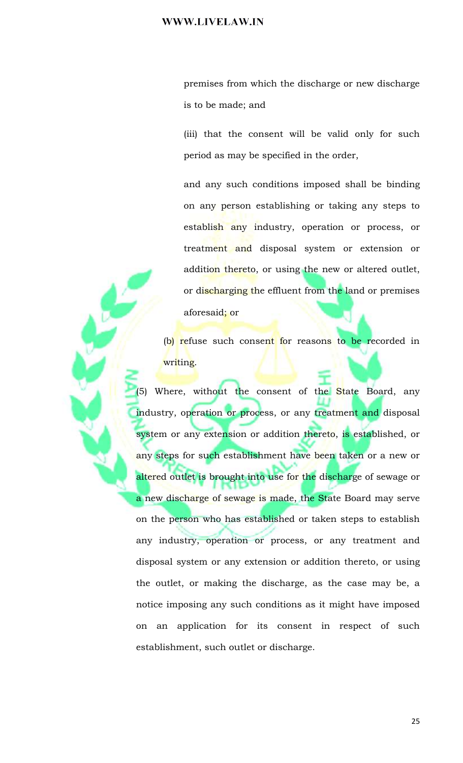premises from which the discharge or new discharge is to be made; and

(iii) that the consent will be valid only for such period as may be specified in the order,

and any such conditions imposed shall be binding on any person establishing or taking any steps to establish any industry, operation or process, or treatment and disposal system or extension or addition thereto, or using the new or altered outlet, or discharging the effluent from the land or premises aforesaid; or

(b) refuse such consent for reasons to be recorded in writing.

(5) Where, without the consent of the State Board, any industry, operation or process, or any treatment and disposal system or any extension or addition thereto, is established, or any steps for such establishment have been taken or a new or altered outlet is brought into use for the discharge of sewage or a new discharge of sewage is made, the State Board may serve on the person who has established or taken steps to establish any industry, operation or process, or any treatment and disposal system or any extension or addition thereto, or using the outlet, or making the discharge, as the case may be, a notice imposing any such conditions as it might have imposed on an application for its consent in respect of such establishment, such outlet or discharge.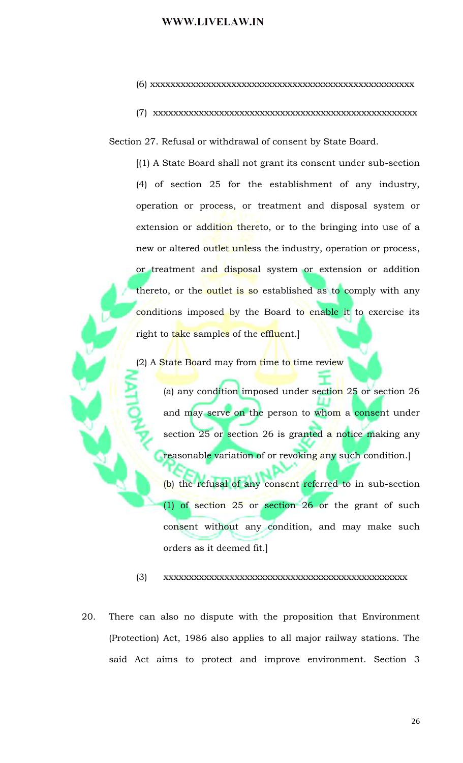- 
- 

Section 27. Refusal or withdrawal of consent by State Board.

 $(1)$  A State Board shall not grant its consent under sub-section (4) of section 25 for the establishment of any industry, operation or process, or treatment and disposal system or extension or addition thereto, or to the bringing into use of a new or altered outlet unless the industry, operation or process, or treatment and disposal system or extension or addition thereto, or the outlet is so established as to comply with any conditions imposed by the Board to enable it to exercise its right to take samples of the effluent.

(2) A State Board may from time to time review

(a) any condition imposed under section 25 or section 26 and may serve on the person to whom a consent under section 25 or section 26 is granted a notice making any reasonable variation of or revoking any such condition.

(b) the refusal of any consent referred to in sub-section  $(1)$  of section 25 or section 26 or the grant of such consent without any condition, and may make such orders as it deemed fit.]

 $(3)$ 

20. There can also no dispute with the proposition that Environment (Protection) Act, 1986 also applies to all major railway stations. The said Act aims to protect and improve environment. Section 3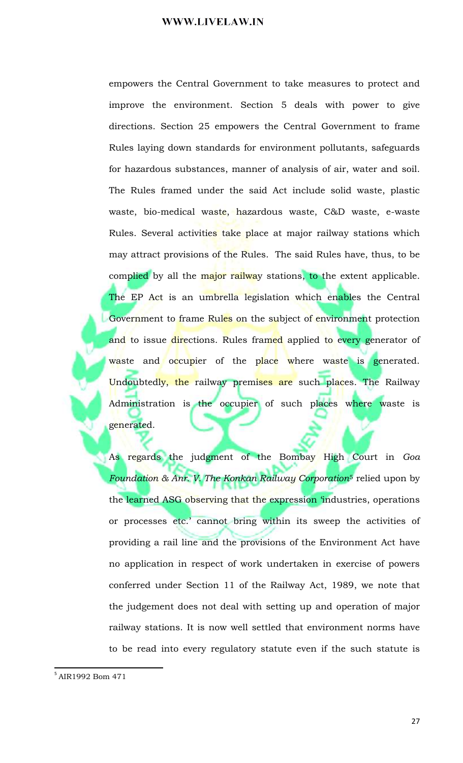empowers the Central Government to take measures to protect and improve the environment. Section 5 deals with power to give directions. Section 25 empowers the Central Government to frame Rules laying down standards for environment pollutants, safeguards for hazardous substances, manner of analysis of air, water and soil. The Rules framed under the said Act include solid waste, plastic waste, bio-medical waste, hazardous waste, C&D waste, e-waste Rules. Several activities take place at major railway stations which may attract provisions of the Rules. The said Rules have, thus, to be complied by all the major railway stations, to the extent applicable. The EP Act is an umbrella legislation which enables the Central Government to frame Rules on the subject of environment protection and to issue directions. Rules framed applied to every generator of waste and occupier of the place where waste is generated. Undoubtedly, the railway premises are such places. The Railway Administration is the occupier of such places where waste is generated.

As regards the judgment of the Bombay High Court in Goa Foundation & Anr. V. The Konkan Railway Corporation<sup>5</sup> relied upon by the learned ASG observing that the expression 'industries, operations or processes etc.' cannot bring within its sweep the activities of providing a rail line and the provisions of the Environment Act have no application in respect of work undertaken in exercise of powers conferred under Section 11 of the Railway Act, 1989, we note that the judgement does not deal with setting up and operation of major railway stations. It is now well settled that environment norms have to be read into every regulatory statute even if the such statute is

<sup>&</sup>lt;sup>5</sup> AIR1992 Bom 471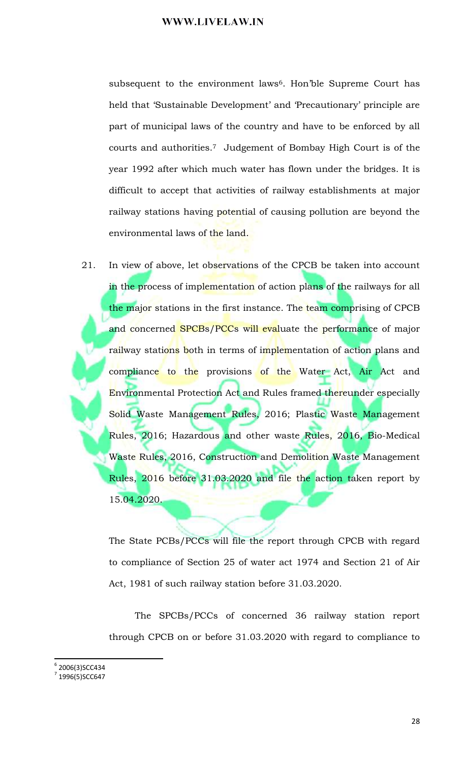subsequent to the environment laws<sup>6</sup>. Hon'ble Supreme Court has held that 'Sustainable Development' and 'Precautionary' principle are part of municipal laws of the country and have to be enforced by all courts and authorities.<sup>7</sup> Judgement of Bombay High Court is of the year 1992 after which much water has flown under the bridges. It is difficult to accept that activities of railway establishments at major railway stations having potential of causing pollution are beyond the environmental laws of the land.

21. In view of above, let observations of the CPCB be taken into account in the process of implementation of action plans of the railways for all the major stations in the first instance. The team comprising of CPCB and concerned SPCBs/PCCs will evaluate the performance of major railway stations both in terms of implementation of action plans and compliance to the provisions of the Water Act, Air Act and Environmental Protection Act and Rules framed thereunder especially Solid Waste Management Rules, 2016; Plastic Waste Management Rules, 2016; Hazardous and other waste Rules, 2016, Bio-Medical Waste Rules, 2016, Construction and Demolition Waste Management Rules, 2016 before 31.03.2020 and file the action taken report by 15.04.2020.

The State PCBs/PCCs will file the report through CPCB with regard to compliance of Section 25 of water act 1974 and Section 21 of Air Act, 1981 of such railway station before 31.03.2020.

The SPCBs/PCCs of concerned 36 railway station report through CPCB on or before 31.03.2020 with regard to compliance to

 $6$  2006(3)SCC434

<sup>7 1996(5)</sup>SCC647